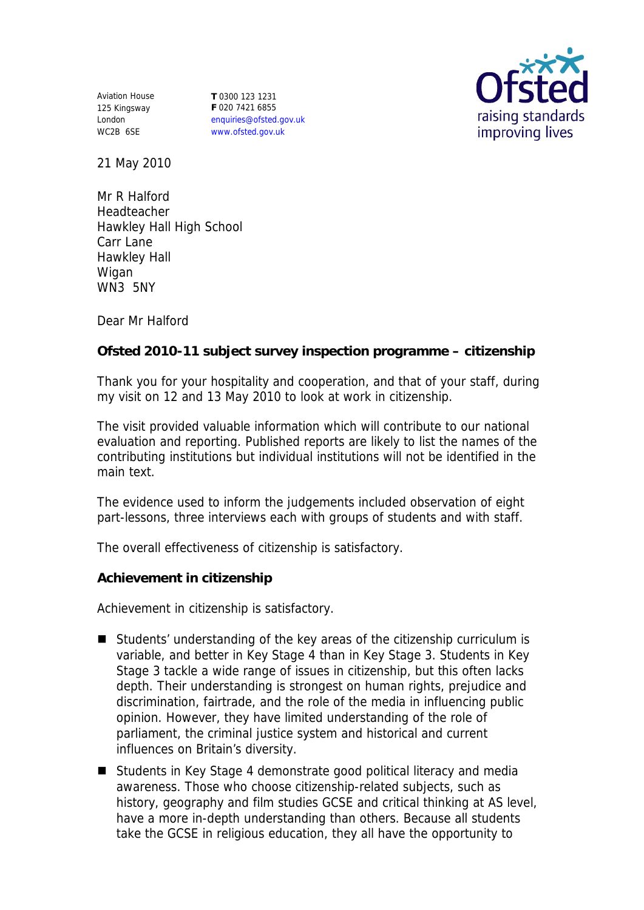Aviation House 125 Kingsway London WC2B 6SE

**T** 0300 123 1231 **F** 020 7421 6855 enquiries@ofsted.gov.uk www.ofsted.gov.uk



21 May 2010

Mr R Halford Headteacher Hawkley Hall High School Carr Lane Hawkley Hall Wigan WN3 5NY

Dear Mr Halford

**Ofsted 2010-11 subject survey inspection programme – citizenship** 

Thank you for your hospitality and cooperation, and that of your staff, during my visit on 12 and 13 May 2010 to look at work in citizenship.

The visit provided valuable information which will contribute to our national evaluation and reporting. Published reports are likely to list the names of the contributing institutions but individual institutions will not be identified in the main text.

The evidence used to inform the judgements included observation of eight part-lessons, three interviews each with groups of students and with staff.

The overall effectiveness of citizenship is satisfactory.

**Achievement in citizenship**

Achievement in citizenship is satisfactory.

- Students' understanding of the key areas of the citizenship curriculum is variable, and better in Key Stage 4 than in Key Stage 3. Students in Key Stage 3 tackle a wide range of issues in citizenship, but this often lacks depth. Their understanding is strongest on human rights, prejudice and discrimination, fairtrade, and the role of the media in influencing public opinion. However, they have limited understanding of the role of parliament, the criminal justice system and historical and current influences on Britain's diversity.
- Students in Key Stage 4 demonstrate good political literacy and media awareness. Those who choose citizenship-related subjects, such as history, geography and film studies GCSE and critical thinking at AS level, have a more in-depth understanding than others. Because all students take the GCSE in religious education, they all have the opportunity to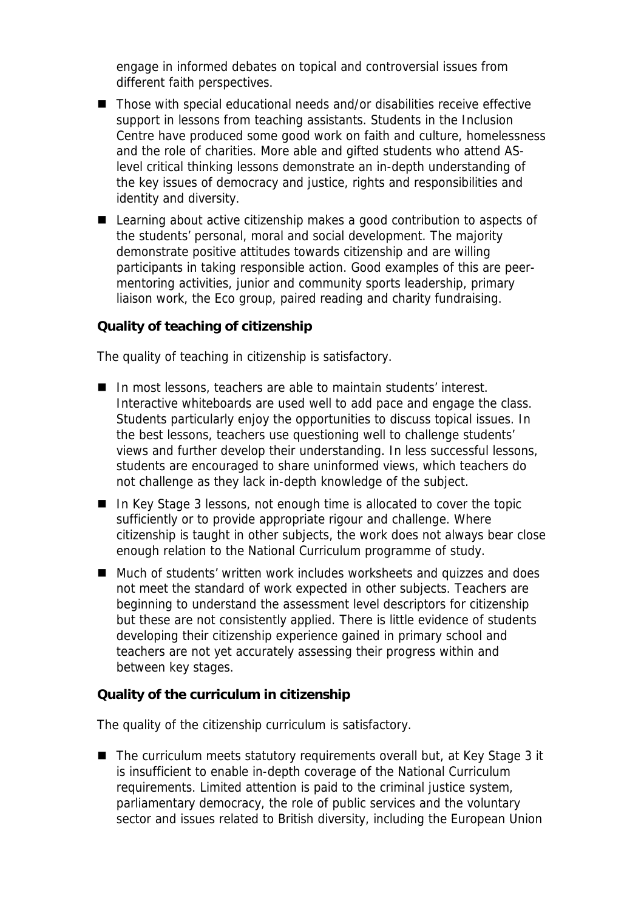engage in informed debates on topical and controversial issues from different faith perspectives.

- Those with special educational needs and/or disabilities receive effective support in lessons from teaching assistants. Students in the Inclusion Centre have produced some good work on faith and culture, homelessness and the role of charities. More able and gifted students who attend ASlevel critical thinking lessons demonstrate an in-depth understanding of the key issues of democracy and justice, rights and responsibilities and identity and diversity.
- Learning about active citizenship makes a good contribution to aspects of the students' personal, moral and social development. The majority demonstrate positive attitudes towards citizenship and are willing participants in taking responsible action. Good examples of this are peermentoring activities, junior and community sports leadership, primary liaison work, the Eco group, paired reading and charity fundraising.

**Quality of teaching of citizenship**

The quality of teaching in citizenship is satisfactory.

- In most lessons, teachers are able to maintain students' interest. Interactive whiteboards are used well to add pace and engage the class. Students particularly enjoy the opportunities to discuss topical issues. In the best lessons, teachers use questioning well to challenge students' views and further develop their understanding. In less successful lessons, students are encouraged to share uninformed views, which teachers do not challenge as they lack in-depth knowledge of the subject.
- In Key Stage 3 lessons, not enough time is allocated to cover the topic sufficiently or to provide appropriate rigour and challenge. Where citizenship is taught in other subjects, the work does not always bear close enough relation to the National Curriculum programme of study.
- Much of students' written work includes worksheets and quizzes and does not meet the standard of work expected in other subjects. Teachers are beginning to understand the assessment level descriptors for citizenship but these are not consistently applied. There is little evidence of students developing their citizenship experience gained in primary school and teachers are not yet accurately assessing their progress within and between key stages.

**Quality of the curriculum in citizenship**

The quality of the citizenship curriculum is satisfactory.

■ The curriculum meets statutory requirements overall but, at Key Stage 3 it is insufficient to enable in-depth coverage of the National Curriculum requirements. Limited attention is paid to the criminal justice system, parliamentary democracy, the role of public services and the voluntary sector and issues related to British diversity, including the European Union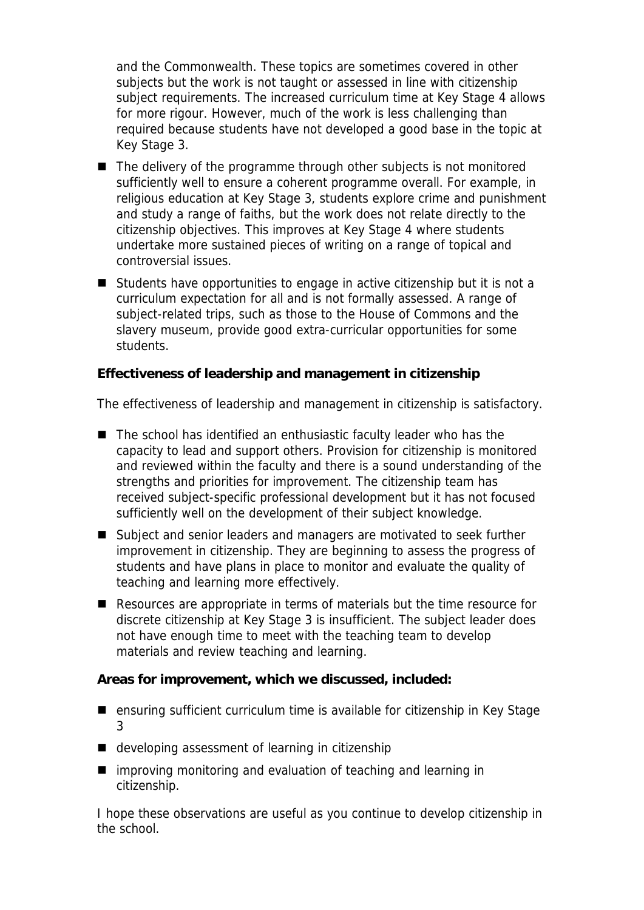and the Commonwealth. These topics are sometimes covered in other subjects but the work is not taught or assessed in line with citizenship subject requirements. The increased curriculum time at Key Stage 4 allows for more rigour. However, much of the work is less challenging than required because students have not developed a good base in the topic at Key Stage 3.

- The delivery of the programme through other subjects is not monitored sufficiently well to ensure a coherent programme overall. For example, in religious education at Key Stage 3, students explore crime and punishment and study a range of faiths, but the work does not relate directly to the citizenship objectives. This improves at Key Stage 4 where students undertake more sustained pieces of writing on a range of topical and controversial issues.
- Students have opportunities to engage in active citizenship but it is not a curriculum expectation for all and is not formally assessed. A range of subject-related trips, such as those to the House of Commons and the slavery museum, provide good extra-curricular opportunities for some students.

**Effectiveness of leadership and management in citizenship**

The effectiveness of leadership and management in citizenship is satisfactory.

- The school has identified an enthusiastic faculty leader who has the capacity to lead and support others. Provision for citizenship is monitored and reviewed within the faculty and there is a sound understanding of the strengths and priorities for improvement. The citizenship team has received subject-specific professional development but it has not focused sufficiently well on the development of their subject knowledge.
- Subject and senior leaders and managers are motivated to seek further improvement in citizenship. They are beginning to assess the progress of students and have plans in place to monitor and evaluate the quality of teaching and learning more effectively.
- Resources are appropriate in terms of materials but the time resource for discrete citizenship at Key Stage 3 is insufficient. The subject leader does not have enough time to meet with the teaching team to develop materials and review teaching and learning.

**Areas for improvement, which we discussed, included:**

- ensuring sufficient curriculum time is available for citizenship in Key Stage 3
- developing assessment of learning in citizenship
- $\blacksquare$  improving monitoring and evaluation of teaching and learning in citizenship.

I hope these observations are useful as you continue to develop citizenship in the school.